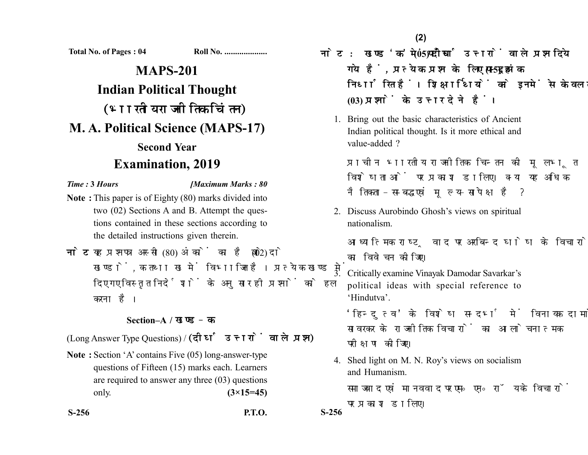**Total No. of Pages : 04 Roll No. ....................**

## **MAPS-201 Indian Political Thought** (भारतीय राजनीतिक चिंतन) **M. A. Political Science (MAPS-17) Second Year Examination, 2019**

*Time :* **3** *Hours [Maximum Marks : 80*

- **Note :** This paper is of Eighty (80) marks divided into two (02) Sections A and B. Attempt the questions contained in these sections according to the detailed instructions given therein.
- नोट: यह प्रश्नपत्र अस्सी (80) अंकों का है जो दो (02) खण्डों. क तथा ख में विभाजित है। प्रत्येक खण्ड में दिए गए विस्तृत निर्देशों के अनुसार ही प्रश्नों को हल करना है।

## **Section–A /**

(Long Answer Type Questions) / (दीर्घ उत्तरों वाले प्रश्न)

**Note :** Section 'A' contains Five (05) long-answer-type questions of Fifteen (15) marks each. Learners are required to answer any three (03) questions only. **(3×15=45)**

**S-256 P.T.O. S-256**

<u>नोट: खण्ड'क'में पाँच (05) दीर्घ उत्तरों वाले प्रश्न दिये</u> गये हैं, प्रत्येक प्रश्न के लिए पन्द्रह (15) अंक निर्धारित हैं। शिक्षार्थियों को इनमें से केवल तीन **(03)** 

1. Bring out the basic characteristics of Ancient Indian political thought. Is it more ethical and value-added ?

प्राचीन भारतीय राजनीतिक चिन्तन की मूलभूत विशेषताओं पर प्रकाश डालिए। क्या यह अधिक नैतिकता-सम्बद्ध एवं मुल्य-सापेक्ष है ?

2. Discuss Aurobindo Ghosh's views on spiritual nationalism.

आध्यात्मिक राष्ट्रवाद पर अरबिन्द घोष के विचारों का विवेचन कोजिए।

3. Critically examine Vinayak Damodar Savarkar's political ideas with special reference to 'Hindutva'.

'हिन्दुत्व' के विशेष सन्दर्भ में विनायक दामोदर सावरकर के राजनीतिक विचारों का आलोचनात्मक परीक्षण कोजिए।

4. Shed light on M. N. Roy's views on socialism and Humanism.

समाजवाद एवं मानववाद पर एम॰ एन॰ रॉय के विचारों पर प्रकाश डालिए।